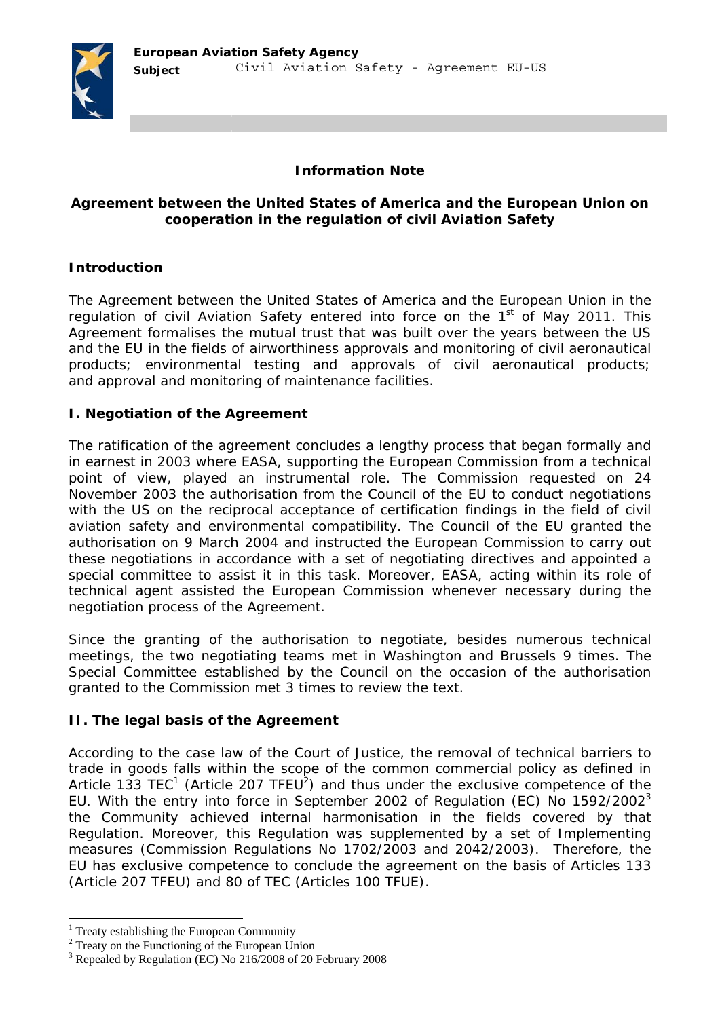

#### **Information Note**

### **Agreement between the United States of America and the European Union on cooperation in the regulation of civil Aviation Safety**

# **Introduction**

The Agreement between the United States of America and the European Union in the regulation of civil Aviation Safety entered into force on the  $1<sup>st</sup>$  of May 2011. This Agreement formalises the mutual trust that was built over the years between the US and the EU in the fields of airworthiness approvals and monitoring of civil aeronautical products; environmental testing and approvals of civil aeronautical products; and approval and monitoring of maintenance facilities.

### **I. Negotiation of the Agreement**

The ratification of the agreement concludes a lengthy process that began formally and in earnest in 2003 where EASA, supporting the European Commission from a technical point of view, played an instrumental role. The Commission requested on 24 November 2003 the authorisation from the Council of the EU to conduct negotiations with the US on the reciprocal acceptance of certification findings in the field of civil aviation safety and environmental compatibility. The Council of the EU granted the authorisation on 9 March 2004 and instructed the European Commission to carry out these negotiations in accordance with a set of negotiating directives and appointed a special committee to assist it in this task. Moreover, EASA, acting within its role of technical agent assisted the European Commission whenever necessary during the negotiation process of the Agreement.

Since the granting of the authorisation to negotiate, besides numerous technical meetings, the two negotiating teams met in Washington and Brussels 9 times. The Special Committee established by the Council on the occasion of the authorisation granted to the Commission met 3 times to review the text.

#### **II. The legal basis of the Agreement**

According to the case law of the Court of Justice, the removal of technical barriers to trade in goods falls within the scope of the common commercial policy as defined in Article 133 TEC<sup>1</sup> (Article 207 TFEU<sup>2</sup>) and thus under the exclusive competence of the EU. With the entry into force in September 2002 of Regulation (EC) No  $1592/2002<sup>3</sup>$ the Community achieved internal harmonisation in the fields covered by that Regulation. Moreover, this Regulation was supplemented by a set of Implementing measures (Commission Regulations No 1702/2003 and 2042/2003). Therefore, the EU has exclusive competence to conclude the agreement on the basis of Articles 133 (Article 207 TFEU) and 80 of TEC (Articles 100 TFUE).

<sup>&</sup>lt;sup>1</sup> Treaty establishing the European Community  $\frac{2}{3}$  Treaty on the European Community

<sup>&</sup>lt;sup>2</sup> Treaty on the Functioning of the European Union

<sup>&</sup>lt;sup>3</sup> Repealed by Regulation (EC) No 216/2008 of 20 February 2008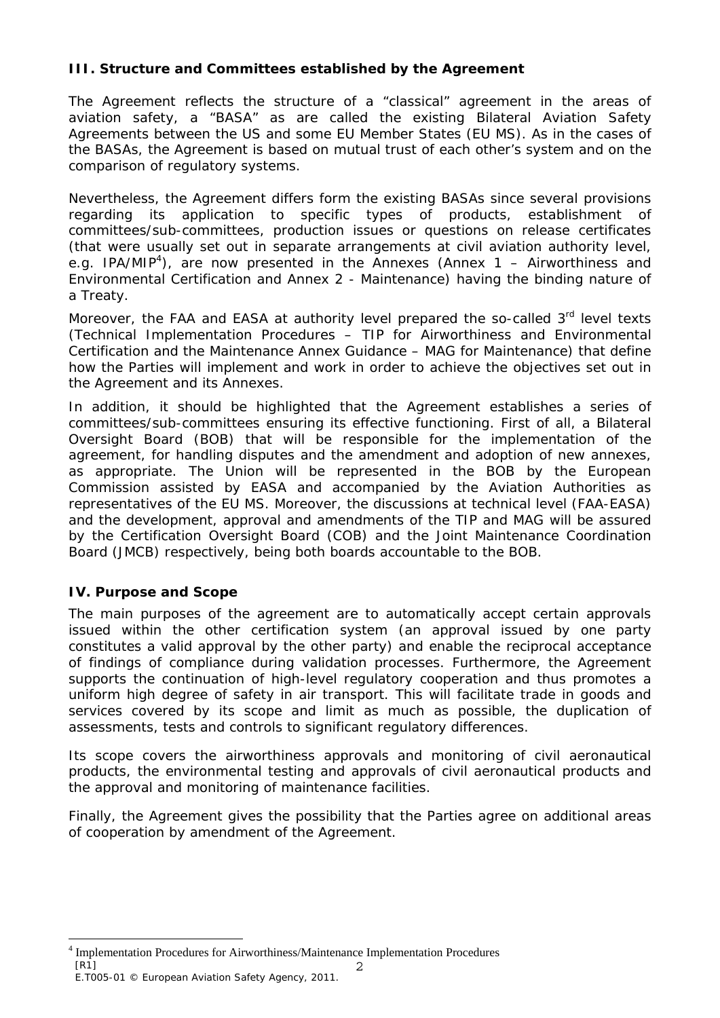## **III. Structure and Committees established by the Agreement**

The Agreement reflects the structure of a "classical" agreement in the areas of aviation safety, a "BASA" as are called the existing Bilateral Aviation Safety Agreements between the US and some EU Member States (EU MS). As in the cases of the BASAs, the Agreement is based on mutual trust of each other's system and on the comparison of regulatory systems.

Nevertheless, the Agreement differs form the existing BASAs since several provisions regarding its application to specific types of products, establishment of committees/sub-committees, production issues or questions on release certificates (that were usually set out in separate arrangements at civil aviation authority level, e.g. IPA/MIP<sup>4</sup>), are now presented in the Annexes (Annex 1 – Airworthiness and Environmental Certification and Annex 2 - Maintenance) having the binding nature of a Treaty.

Moreover, the FAA and EASA at authority level prepared the so-called 3<sup>rd</sup> level texts (Technical Implementation Procedures – TIP for Airworthiness and Environmental Certification and the Maintenance Annex Guidance – MAG for Maintenance) that define how the Parties will implement and work in order to achieve the objectives set out in the Agreement and its Annexes.

In addition, it should be highlighted that the Agreement establishes a series of committees/sub-committees ensuring its effective functioning. First of all, a Bilateral Oversight Board (BOB) that will be responsible for the implementation of the agreement, for handling disputes and the amendment and adoption of new annexes, as appropriate. The Union will be represented in the BOB by the European Commission assisted by EASA and accompanied by the Aviation Authorities as representatives of the EU MS. Moreover, the discussions at technical level (FAA-EASA) and the development, approval and amendments of the TIP and MAG will be assured by the Certification Oversight Board (COB) and the Joint Maintenance Coordination Board (JMCB) respectively, being both boards accountable to the BOB.

# **IV. Purpose and Scope**

The main purposes of the agreement are to automatically accept certain approvals issued within the other certification system (an approval issued by one party constitutes a valid approval by the other party) and enable the reciprocal acceptance of findings of compliance during validation processes. Furthermore, the Agreement supports the continuation of high-level regulatory cooperation and thus promotes a uniform high degree of safety in air transport. This will facilitate trade in goods and services covered by its scope and limit as much as possible, the duplication of assessments, tests and controls to significant regulatory differences.

Its scope covers the airworthiness approvals and monitoring of civil aeronautical products, the environmental testing and approvals of civil aeronautical products and the approval and monitoring of maintenance facilities.

Finally, the Agreement gives the possibility that the Parties agree on additional areas of cooperation by amendment of the Agreement.

<sup>[</sup>R1] 2 ÷. 4 Implementation Procedures for Airworthiness/Maintenance Implementation Procedures

E.T005-01 © European Aviation Safety Agency, 2011.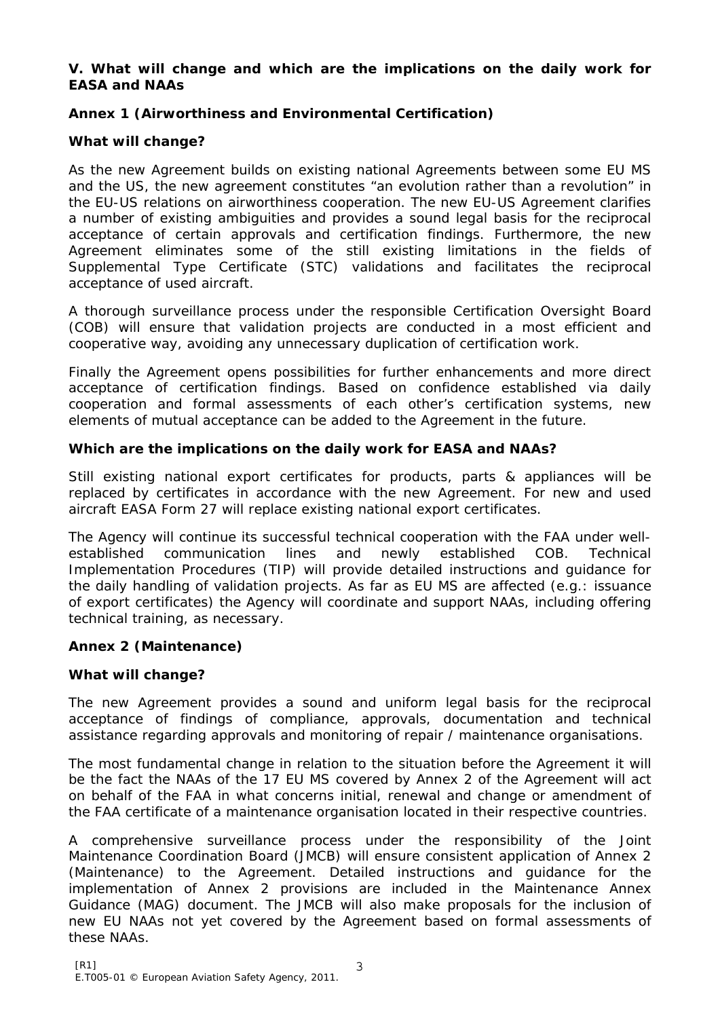### **V. What will change and which are the implications on the daily work for EASA and NAAs**

# **Annex 1 (Airworthiness and Environmental Certification)**

# **What will change?**

As the new Agreement builds on existing national Agreements between some EU MS and the US, the new agreement constitutes "an evolution rather than a revolution" in the EU-US relations on airworthiness cooperation. The new EU-US Agreement clarifies a number of existing ambiguities and provides a sound legal basis for the reciprocal acceptance of certain approvals and certification findings. Furthermore, the new Agreement eliminates some of the still existing limitations in the fields of Supplemental Type Certificate (STC) validations and facilitates the reciprocal acceptance of used aircraft.

A thorough surveillance process under the responsible Certification Oversight Board (COB) will ensure that validation projects are conducted in a most efficient and cooperative way, avoiding any unnecessary duplication of certification work.

Finally the Agreement opens possibilities for further enhancements and more direct acceptance of certification findings. Based on confidence established via daily cooperation and formal assessments of each other's certification systems, new elements of mutual acceptance can be added to the Agreement in the future.

## **Which are the implications on the daily work for EASA and NAAs?**

Still existing national export certificates for products, parts & appliances will be replaced by certificates in accordance with the new Agreement. For new and used aircraft EASA Form 27 will replace existing national export certificates.

The Agency will continue its successful technical cooperation with the FAA under wellestablished communication lines and newly established COB. Technical Implementation Procedures (TIP) will provide detailed instructions and guidance for the daily handling of validation projects. As far as EU MS are affected (e.g.: issuance of export certificates) the Agency will coordinate and support NAAs, including offering technical training, as necessary.

## **Annex 2 (Maintenance)**

## **What will change?**

The new Agreement provides a sound and uniform legal basis for the reciprocal acceptance of findings of compliance, approvals, documentation and technical assistance regarding approvals and monitoring of repair / maintenance organisations.

The most fundamental change in relation to the situation before the Agreement it will be the fact the NAAs of the 17 EU MS covered by Annex 2 of the Agreement will act on behalf of the FAA in what concerns initial, renewal and change or amendment of the FAA certificate of a maintenance organisation located in their respective countries.

A comprehensive surveillance process under the responsibility of the Joint Maintenance Coordination Board (JMCB) will ensure consistent application of Annex 2 (Maintenance) to the Agreement. Detailed instructions and guidance for the implementation of Annex 2 provisions are included in the Maintenance Annex Guidance (MAG) document. The JMCB will also make proposals for the inclusion of new EU NAAs not yet covered by the Agreement based on formal assessments of these NAAs.